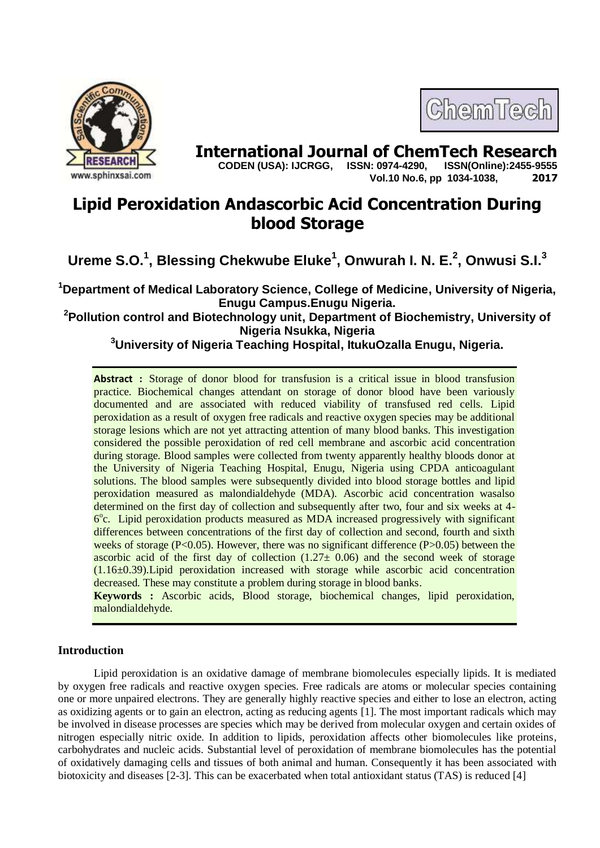

# **International Journal of ChemTech Research copen (USA): IJCRGG.** ISSN: 0974-4290. ISSN(Online):2455-9555

ChemTech

 **CODEN (USA): IJCRGG, ISSN: 0974-4290, Vol.10 No.6, pp 1034-1038, 2017**

# **Lipid Peroxidation Andascorbic Acid Concentration During blood Storage**

**Ureme S.O.<sup>1</sup> , Blessing Chekwube Eluke<sup>1</sup> , Onwurah I. N. E.<sup>2</sup> , Onwusi S.I.<sup>3</sup>**

**<sup>1</sup>Department of Medical Laboratory Science, College of Medicine, University of Nigeria, Enugu Campus.Enugu Nigeria.**

**<sup>2</sup>Pollution control and Biotechnology unit, Department of Biochemistry, University of Nigeria Nsukka, Nigeria**

**<sup>3</sup>University of Nigeria Teaching Hospital, ItukuOzalla Enugu, Nigeria.**

**Abstract :** Storage of donor blood for transfusion is a critical issue in blood transfusion practice. Biochemical changes attendant on storage of donor blood have been variously documented and are associated with reduced viability of transfused red cells. Lipid peroxidation as a result of oxygen free radicals and reactive oxygen species may be additional storage lesions which are not yet attracting attention of many blood banks. This investigation considered the possible peroxidation of red cell membrane and ascorbic acid concentration during storage. Blood samples were collected from twenty apparently healthy bloods donor at the University of Nigeria Teaching Hospital, Enugu, Nigeria using CPDA anticoagulant solutions. The blood samples were subsequently divided into blood storage bottles and lipid peroxidation measured as malondialdehyde (MDA). Ascorbic acid concentration wasalso determined on the first day of collection and subsequently after two, four and six weeks at 4- 6<sup>°</sup>c. Lipid peroxidation products measured as MDA increased progressively with significant differences between concentrations of the first day of collection and second, fourth and sixth weeks of storage ( $P<0.05$ ). However, there was no significant difference ( $P>0.05$ ) between the ascorbic acid of the first day of collection  $(1.27 \pm 0.06)$  and the second week of storage  $(1.16\pm0.39)$ . Lipid peroxidation increased with storage while ascorbic acid concentration decreased. These may constitute a problem during storage in blood banks.

**Keywords :** Ascorbic acids, Blood storage, biochemical changes, lipid peroxidation, malondialdehyde.

# **Introduction**

Lipid peroxidation is an oxidative damage of membrane biomolecules especially lipids. It is mediated by oxygen free radicals and reactive oxygen species. Free radicals are atoms or molecular species containing one or more unpaired electrons. They are generally highly reactive species and either to lose an electron, acting as oxidizing agents or to gain an electron, acting as reducing agents [1]. The most important radicals which may be involved in disease processes are species which may be derived from molecular oxygen and certain oxides of nitrogen especially nitric oxide. In addition to lipids, peroxidation affects other biomolecules like proteins, carbohydrates and nucleic acids. Substantial level of peroxidation of membrane biomolecules has the potential of oxidatively damaging cells and tissues of both animal and human. Consequently it has been associated with biotoxicity and diseases [2-3]. This can be exacerbated when total antioxidant status (TAS) is reduced [4]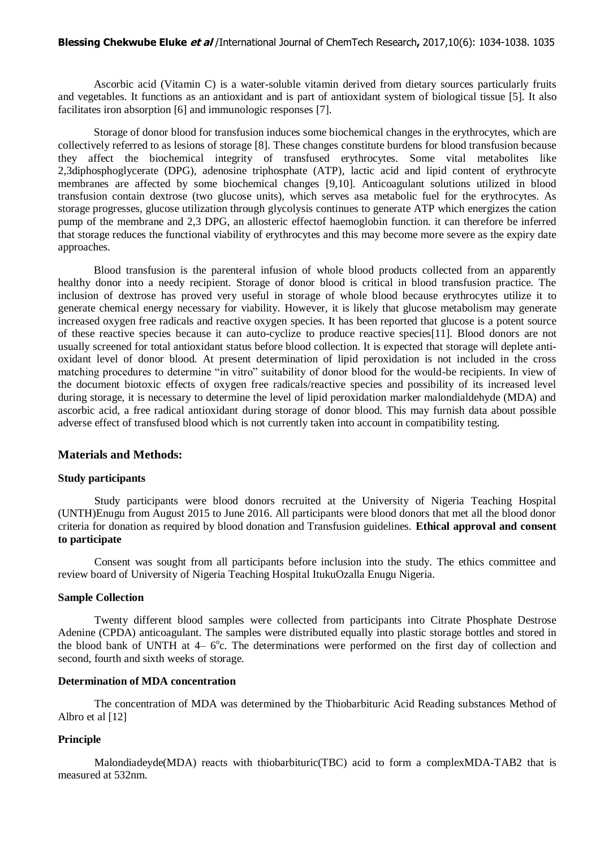#### **Blessing Chekwube Eluke et al** /International Journal of ChemTech Research**,** 2017,10(6): 1034-1038. 1035

Ascorbic acid (Vitamin C) is a water-soluble vitamin derived from dietary sources particularly fruits and vegetables. It functions as an antioxidant and is part of antioxidant system of biological tissue [5]. It also facilitates iron absorption [6] and immunologic responses [7].

Storage of donor blood for transfusion induces some biochemical changes in the erythrocytes, which are collectively referred to as lesions of storage [8]. These changes constitute burdens for blood transfusion because they affect the biochemical integrity of transfused erythrocytes. Some vital metabolites like 2,3diphosphoglycerate (DPG), adenosine triphosphate (ATP), lactic acid and lipid content of erythrocyte membranes are affected by some biochemical changes [9,10]. Anticoagulant solutions utilized in blood transfusion contain dextrose (two glucose units), which serves asa metabolic fuel for the erythrocytes. As storage progresses, glucose utilization through glycolysis continues to generate ATP which energizes the cation pump of the membrane and 2,3 DPG, an allosteric effectof haemoglobin function. it can therefore be inferred that storage reduces the functional viability of erythrocytes and this may become more severe as the expiry date approaches.

Blood transfusion is the parenteral infusion of whole blood products collected from an apparently healthy donor into a needy recipient. Storage of donor blood is critical in blood transfusion practice. The inclusion of dextrose has proved very useful in storage of whole blood because erythrocytes utilize it to generate chemical energy necessary for viability. However, it is likely that glucose metabolism may generate increased oxygen free radicals and reactive oxygen species. It has been reported that glucose is a potent source of these reactive species because it can auto-cyclize to produce reactive species[11]. Blood donors are not usually screened for total antioxidant status before blood collection. It is expected that storage will deplete antioxidant level of donor blood. At present determination of lipid peroxidation is not included in the cross matching procedures to determine "in vitro" suitability of donor blood for the would-be recipients. In view of the document biotoxic effects of oxygen free radicals/reactive species and possibility of its increased level during storage, it is necessary to determine the level of lipid peroxidation marker malondialdehyde (MDA) and ascorbic acid, a free radical antioxidant during storage of donor blood. This may furnish data about possible adverse effect of transfused blood which is not currently taken into account in compatibility testing.

## **Materials and Methods:**

#### **Study participants**

Study participants were blood donors recruited at the University of Nigeria Teaching Hospital (UNTH)Enugu from August 2015 to June 2016. All participants were blood donors that met all the blood donor criteria for donation as required by blood donation and Transfusion guidelines. **Ethical approval and consent to participate**

Consent was sought from all participants before inclusion into the study. The ethics committee and review board of University of Nigeria Teaching Hospital ItukuOzalla Enugu Nigeria.

#### **Sample Collection**

Twenty different blood samples were collected from participants into Citrate Phosphate Destrose Adenine (CPDA) anticoagulant. The samples were distributed equally into plastic storage bottles and stored in the blood bank of UNTH at  $4-6^{\circ}$ c. The determinations were performed on the first day of collection and second, fourth and sixth weeks of storage.

#### **Determination of MDA concentration**

The concentration of MDA was determined by the Thiobarbituric Acid Reading substances Method of Albro et al [12]

#### **Principle**

Malondiadeyde(MDA) reacts with thiobarbituric(TBC) acid to form a complexMDA-TAB2 that is measured at 532nm.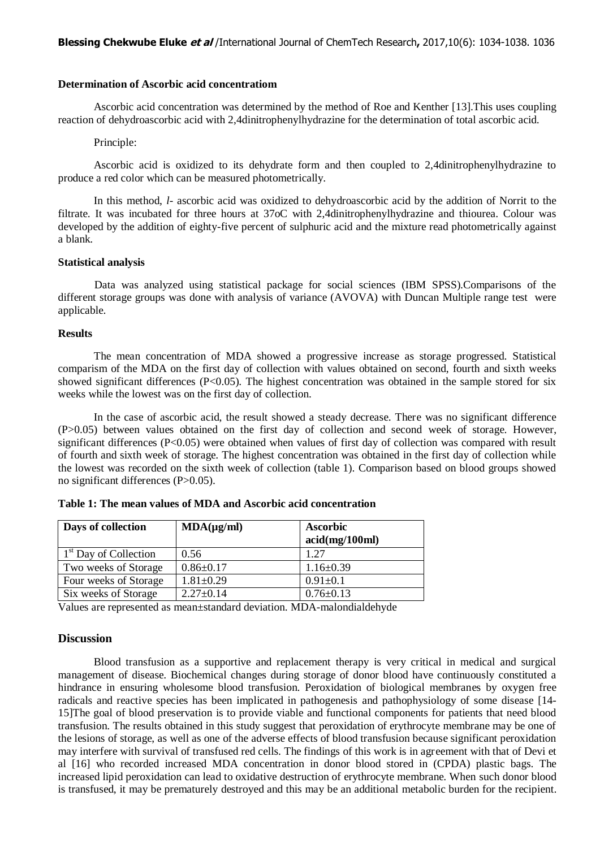#### **Determination of Ascorbic acid concentratiom**

Ascorbic acid concentration was determined by the method of Roe and Kenther [13].This uses coupling reaction of dehydroascorbic acid with 2,4dinitrophenylhydrazine for the determination of total ascorbic acid.

#### Principle:

Ascorbic acid is oxidized to its dehydrate form and then coupled to 2,4dinitrophenylhydrazine to produce a red color which can be measured photometrically.

In this method, *l*- ascorbic acid was oxidized to dehydroascorbic acid by the addition of Norrit to the filtrate. It was incubated for three hours at 37oC with 2,4dinitrophenylhydrazine and thiourea. Colour was developed by the addition of eighty-five percent of sulphuric acid and the mixture read photometrically against a blank.

#### **Statistical analysis**

Data was analyzed using statistical package for social sciences (IBM SPSS).Comparisons of the different storage groups was done with analysis of variance (AVOVA) with Duncan Multiple range test were applicable.

#### **Results**

The mean concentration of MDA showed a progressive increase as storage progressed. Statistical comparism of the MDA on the first day of collection with values obtained on second, fourth and sixth weeks showed significant differences  $(P< 0.05)$ . The highest concentration was obtained in the sample stored for six weeks while the lowest was on the first day of collection.

In the case of ascorbic acid, the result showed a steady decrease. There was no significant difference (P>0.05) between values obtained on the first day of collection and second week of storage. However, significant differences (P<0.05) were obtained when values of first day of collection was compared with result of fourth and sixth week of storage. The highest concentration was obtained in the first day of collection while the lowest was recorded on the sixth week of collection (table 1). Comparison based on blood groups showed no significant differences (P>0.05).

| Days of collection                | $MDA(\mu\text{g/ml})$ | <b>Ascorbic</b> |
|-----------------------------------|-----------------------|-----------------|
|                                   |                       | acid(mg/100ml)  |
| 1 <sup>st</sup> Day of Collection | 0.56                  | 1 27            |
| Two weeks of Storage              | $0.86 \pm 0.17$       | $1.16 \pm 0.39$ |
| Four weeks of Storage             | $1.81 \pm 0.29$       | $0.91 \pm 0.1$  |
| Six weeks of Storage              | $2.27 \pm 0.14$       | $0.76 \pm 0.13$ |

**Table 1: The mean values of MDA and Ascorbic acid concentration**

Values are represented as mean±standard deviation. MDA-malondialdehyde

### **Discussion**

Blood transfusion as a supportive and replacement therapy is very critical in medical and surgical management of disease. Biochemical changes during storage of donor blood have continuously constituted a hindrance in ensuring wholesome blood transfusion. Peroxidation of biological membranes by oxygen free radicals and reactive species has been implicated in pathogenesis and pathophysiology of some disease [14- 15]The goal of blood preservation is to provide viable and functional components for patients that need blood transfusion. The results obtained in this study suggest that peroxidation of erythrocyte membrane may be one of the lesions of storage, as well as one of the adverse effects of blood transfusion because significant peroxidation may interfere with survival of transfused red cells. The findings of this work is in agreement with that of Devi et al [16] who recorded increased MDA concentration in donor blood stored in (CPDA) plastic bags. The increased lipid peroxidation can lead to oxidative destruction of erythrocyte membrane. When such donor blood is transfused, it may be prematurely destroyed and this may be an additional metabolic burden for the recipient.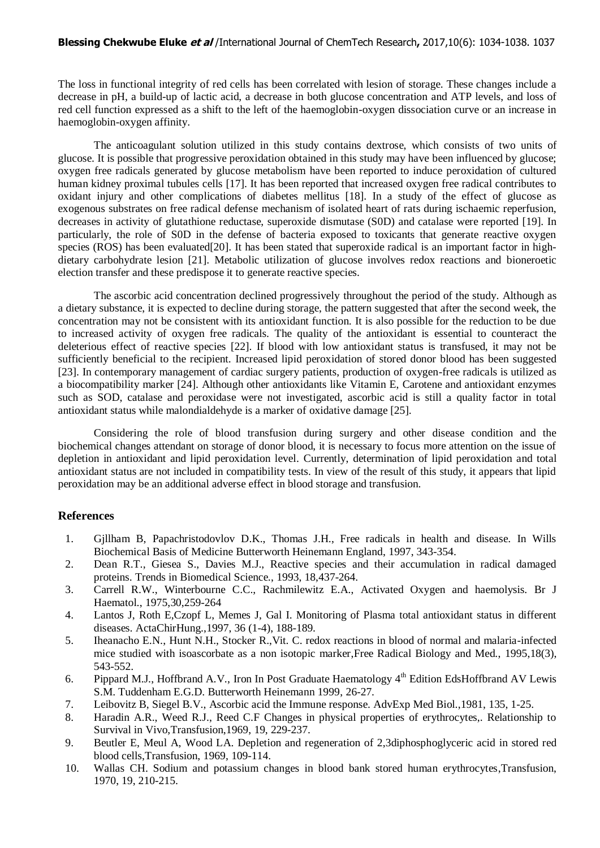#### **Blessing Chekwube Eluke et al** /International Journal of ChemTech Research**,** 2017,10(6): 1034-1038. 1037

The loss in functional integrity of red cells has been correlated with lesion of storage. These changes include a decrease in pH, a build-up of lactic acid, a decrease in both glucose concentration and ATP levels, and loss of red cell function expressed as a shift to the left of the haemoglobin-oxygen dissociation curve or an increase in haemoglobin-oxygen affinity.

The anticoagulant solution utilized in this study contains dextrose, which consists of two units of glucose. It is possible that progressive peroxidation obtained in this study may have been influenced by glucose; oxygen free radicals generated by glucose metabolism have been reported to induce peroxidation of cultured human kidney proximal tubules cells [17]. It has been reported that increased oxygen free radical contributes to oxidant injury and other complications of diabetes mellitus [18]. In a study of the effect of glucose as exogenous substrates on free radical defense mechanism of isolated heart of rats during ischaemic reperfusion, decreases in activity of glutathione reductase, superoxide dismutase (S0D) and catalase were reported [19]. In particularly, the role of S0D in the defense of bacteria exposed to toxicants that generate reactive oxygen species (ROS) has been evaluated[20]. It has been stated that superoxide radical is an important factor in highdietary carbohydrate lesion [21]. Metabolic utilization of glucose involves redox reactions and bioneroetic election transfer and these predispose it to generate reactive species.

The ascorbic acid concentration declined progressively throughout the period of the study. Although as a dietary substance, it is expected to decline during storage, the pattern suggested that after the second week, the concentration may not be consistent with its antioxidant function. It is also possible for the reduction to be due to increased activity of oxygen free radicals. The quality of the antioxidant is essential to counteract the deleterious effect of reactive species [22]. If blood with low antioxidant status is transfused, it may not be sufficiently beneficial to the recipient. Increased lipid peroxidation of stored donor blood has been suggested [23]. In contemporary management of cardiac surgery patients, production of oxygen-free radicals is utilized as a biocompatibility marker [24]. Although other antioxidants like Vitamin E, Carotene and antioxidant enzymes such as SOD, catalase and peroxidase were not investigated, ascorbic acid is still a quality factor in total antioxidant status while malondialdehyde is a marker of oxidative damage [25].

Considering the role of blood transfusion during surgery and other disease condition and the biochemical changes attendant on storage of donor blood, it is necessary to focus more attention on the issue of depletion in antioxidant and lipid peroxidation level. Currently, determination of lipid peroxidation and total antioxidant status are not included in compatibility tests. In view of the result of this study, it appears that lipid peroxidation may be an additional adverse effect in blood storage and transfusion.

# **References**

- 1. Gjllham B, Papachristodovlov D.K., Thomas J.H., Free radicals in health and disease. In Wills Biochemical Basis of Medicine Butterworth Heinemann England, 1997, 343-354.
- 2. Dean R.T., Giesea S., Davies M.J., Reactive species and their accumulation in radical damaged proteins. Trends in Biomedical Science., 1993, 18,437-264.
- 3. Carrell R.W., Winterbourne C.C., Rachmilewitz E.A., Activated Oxygen and haemolysis. Br J Haematol., 1975,30,259-264
- 4. Lantos J, Roth E,Czopf L, Memes J, Gal I. Monitoring of Plasma total antioxidant status in different diseases. ActaChirHung.,1997, 36 (1-4), 188-189.
- 5. Iheanacho E.N., Hunt N.H., Stocker R.,Vit. C. redox reactions in blood of normal and malaria-infected mice studied with isoascorbate as a non isotopic marker,Free Radical Biology and Med., 1995,18(3), 543-552.
- 6. Pippard M.J., Hoffbrand A.V., Iron In Post Graduate Haematology 4<sup>th</sup> Edition EdsHoffbrand AV Lewis S.M. Tuddenham E.G.D. Butterworth Heinemann 1999, 26-27.
- 7. Leibovitz B, Siegel B.V., Ascorbic acid the Immune response. AdvExp Med Biol.,1981, 135, 1-25.
- 8. Haradin A.R., Weed R.J., Reed C.F Changes in physical properties of erythrocytes,. Relationship to Survival in Vivo,Transfusion,1969, 19, 229-237.
- 9. Beutler E, Meul A, Wood LA. Depletion and regeneration of 2,3diphosphoglyceric acid in stored red blood cells,Transfusion, 1969, 109-114.
- 10. Wallas CH. Sodium and potassium changes in blood bank stored human erythrocytes,Transfusion, 1970, 19, 210-215.